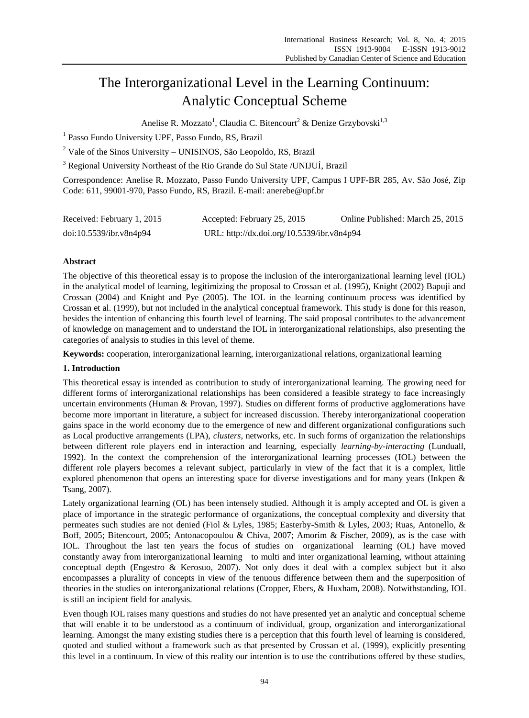# The Interorganizational Level in the Learning Continuum: Analytic Conceptual Scheme

Anelise R. Mozzato<sup>1</sup>, Claudia C. Bitencourt<sup>2</sup> & Denize Grzybovski<sup>1,3</sup>

<sup>1</sup> Passo Fundo University UPF, Passo Fundo, RS, Brazil

 $2$  Vale of the Sinos University – UNISINOS, São Leopoldo, RS, Brazil

<sup>3</sup> Regional University Northeast of the Rio Grande do Sul State /UNIJU Í, Brazil

Correspondence: Anelise R. Mozzato, Passo Fundo University UPF, Campus I UPF-BR 285, Av. São José, Zip Code: 611, 99001-970, Passo Fundo, RS, Brazil. E-mail: anerebe@upf.br

| Received: February 1, 2015 | Accepted: February 25, 2015                | Online Published: March 25, 2015 |
|----------------------------|--------------------------------------------|----------------------------------|
| doi:10.5539/ibr.v8n4p94    | URL: http://dx.doi.org/10.5539/ibr.v8n4p94 |                                  |

## **Abstract**

The objective of this theoretical essay is to propose the inclusion of the interorganizational learning level (IOL) in the analytical model of learning, legitimizing the proposal to Crossan et al. (1995), Knight (2002) Bapuji and Crossan (2004) and Knight and Pye (2005). The IOL in the learning continuum process was identified by Crossan et al. (1999), but not included in the analytical conceptual framework. This study is done for this reason, besides the intention of enhancing this fourth level of learning. The said proposal contributes to the advancement of knowledge on management and to understand the IOL in interorganizational relationships, also presenting the categories of analysis to studies in this level of theme.

**Keywords:** cooperation, interorganizational learning, interorganizational relations, organizational learning

## **1. Introduction**

This theoretical essay is intended as contribution to study of interorganizational learning. The growing need for different forms of interorganizational relationships has been considered a feasible strategy to face increasingly uncertain environments (Human & Provan, 1997). Studies on different forms of productive agglomerations have become more important in literature, a subject for increased discussion. Thereby interorganizational cooperation gains space in the world economy due to the emergence of new and different organizational configurations such as Local productive arrangements (LPA), *clusters*, networks, etc. In such forms of organization the relationships between different role players end in interaction and learning, especially *learning-by-interacting* (Lunduall, 1992). In the context the comprehension of the interorganizational learning processes (IOL) between the different role players becomes a relevant subject, particularly in view of the fact that it is a complex, little explored phenomenon that opens an interesting space for diverse investigations and for many years (Inkpen & Tsang, 2007).

Lately organizational learning (OL) has been intensely studied. Although it is amply accepted and OL is given a place of importance in the strategic performance of organizations, the conceptual complexity and diversity that permeates such studies are not denied (Fiol & Lyles, 1985; Easterby-Smith & Lyles, 2003; Ruas, Antonello, & Boff, 2005; Bitencourt, 2005; Antonacopoulou & Chiva, 2007; Amorim & Fischer, 2009), as is the case with IOL. Throughout the last ten years the focus of studies on organizational learning (OL) have moved constantly away from interorganizational learning to multi and inter organizational learning, without attaining conceptual depth (Engestro & Kerosuo, 2007). Not only does it deal with a complex subject but it also encompasses a plurality of concepts in view of the tenuous difference between them and the superposition of theories in the studies on interorganizational relations (Cropper, Ebers, & Huxham, 2008). Notwithstanding, IOL is still an incipient field for analysis.

Even though IOL raises many questions and studies do not have presented yet an analytic and conceptual scheme that will enable it to be understood as a continuum of individual, group, organization and interorganizational learning. Amongst the many existing studies there is a perception that this fourth level of learning is considered, quoted and studied without a framework such as that presented by Crossan et al. (1999), explicitly presenting this level in a continuum. In view of this reality our intention is to use the contributions offered by these studies,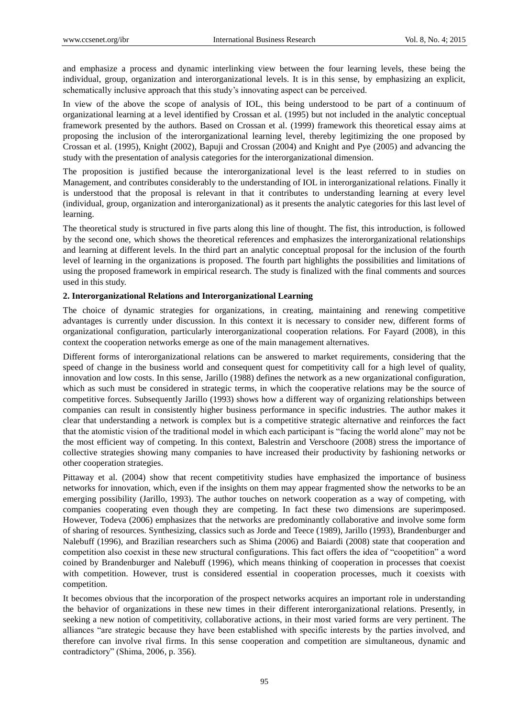and emphasize a process and dynamic interlinking view between the four learning levels, these being the individual, group, organization and interorganizational levels. It is in this sense, by emphasizing an explicit, schematically inclusive approach that this study's innovating aspect can be perceived.

In view of the above the scope of analysis of IOL, this being understood to be part of a continuum of organizational learning at a level identified by Crossan et al. (1995) but not included in the analytic conceptual framework presented by the authors. Based on Crossan et al. (1999) framework this theoretical essay aims at proposing the inclusion of the interorganizational learning level, thereby legitimizing the one proposed by Crossan et al. (1995), Knight (2002), Bapuji and Crossan (2004) and Knight and Pye (2005) and advancing the study with the presentation of analysis categories for the interorganizational dimension.

The proposition is justified because the interorganizational level is the least referred to in studies on Management, and contributes considerably to the understanding of IOL in interorganizational relations. Finally it is understood that the proposal is relevant in that it contributes to understanding learning at every level (individual, group, organization and interorganizational) as it presents the analytic categories for this last level of learning.

The theoretical study is structured in five parts along this line of thought. The fist, this introduction, is followed by the second one, which shows the theoretical references and emphasizes the interorganizational relationships and learning at different levels. In the third part an analytic conceptual proposal for the inclusion of the fourth level of learning in the organizations is proposed. The fourth part highlights the possibilities and limitations of using the proposed framework in empirical research. The study is finalized with the final comments and sources used in this study.

#### **2. Interorganizational Relations and Interorganizational Learning**

The choice of dynamic strategies for organizations, in creating, maintaining and renewing competitive advantages is currently under discussion. In this context it is necessary to consider new, different forms of organizational configuration, particularly interorganizational cooperation relations. For Fayard (2008), in this context the cooperation networks emerge as one of the main management alternatives.

Different forms of interorganizational relations can be answered to market requirements, considering that the speed of change in the business world and consequent quest for competitivity call for a high level of quality, innovation and low costs. In this sense, Jarillo (1988) defines the network as a new organizational configuration, which as such must be considered in strategic terms, in which the cooperative relations may be the source of competitive forces. Subsequently Jarillo (1993) shows how a different way of organizing relationships between companies can result in consistently higher business performance in specific industries. The author makes it clear that understanding a network is complex but is a competitive strategic alternative and reinforces the fact that the atomistic vision of the traditional model in which each participant is "facing the world alone" may not be the most efficient way of competing. In this context, Balestrin and Verschoore (2008) stress the importance of collective strategies showing many companies to have increased their productivity by fashioning networks or other cooperation strategies.

Pittaway et al. (2004) show that recent competitivity studies have emphasized the importance of business networks for innovation, which, even if the insights on them may appear fragmented show the networks to be an emerging possibility (Jarillo, 1993). The author touches on network cooperation as a way of competing, with companies cooperating even though they are competing. In fact these two dimensions are superimposed. However, Todeva (2006) emphasizes that the networks are predominantly collaborative and involve some form of sharing of resources. Synthesizing, classics such as Jorde and Teece (1989), Jarillo (1993), Brandenburger and Nalebuff (1996), and Brazilian researchers such as Shima (2006) and Baiardi (2008) state that cooperation and competition also coexist in these new structural configurations. This fact offers the idea of "coopetition" a word coined by Brandenburger and Nalebuff (1996), which means thinking of cooperation in processes that coexist with competition. However, trust is considered essential in cooperation processes, much it coexists with competition.

It becomes obvious that the incorporation of the prospect networks acquires an important role in understanding the behavior of organizations in these new times in their different interorganizational relations. Presently, in seeking a new notion of competitivity, collaborative actions, in their most varied forms are very pertinent. The alliances "are strategic because they have been established with specific interests by the parties involved, and therefore can involve rival firms. In this sense cooperation and competition are simultaneous, dynamic and contradictory" (Shima, 2006, p. 356).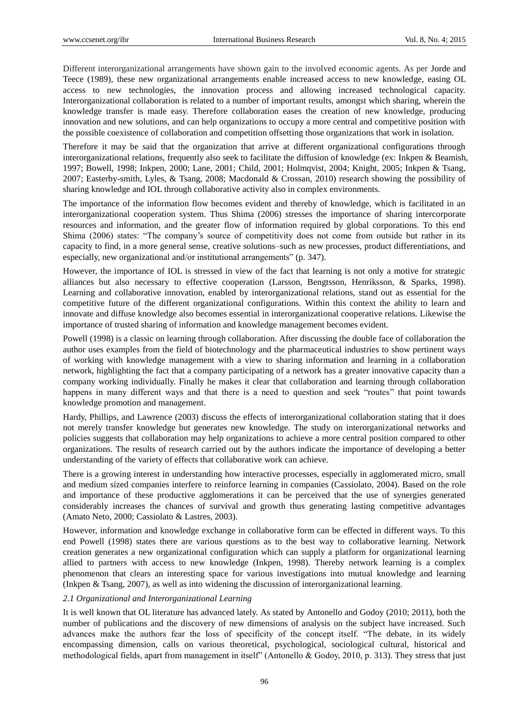Different interorganizational arrangements have shown gain to the involved economic agents. As per Jorde and Teece (1989), these new organizational arrangements enable increased access to new knowledge, easing OL access to new technologies, the innovation process and allowing increased technological capacity. Interorganizational collaboration is related to a number of important results, amongst which sharing, wherein the knowledge transfer is made easy. Therefore collaboration eases the creation of new knowledge, producing innovation and new solutions, and can help organizations to occupy a more central and competitive position with the possible coexistence of collaboration and competition offsetting those organizations that work in isolation.

Therefore it may be said that the organization that arrive at different organizational configurations through interorganizational relations, frequently also seek to facilitate the diffusion of knowledge (ex: Inkpen & Beamish, 1997; Bowell, 1998; Inkpen, 2000; Lane, 2001; Child, 2001; Holmqvist, 2004; Knight, 2005; Inkpen & Tsang, 2007; Easterby-smith, Lyles, & Tsang, 2008; Macdonald & Crossan, 2010) research showing the possibility of sharing knowledge and IOL through collaborative activity also in complex environments.

The importance of the information flow becomes evident and thereby of knowledge, which is facilitated in an interorganizational cooperation system. Thus Shima (2006) stresses the importance of sharing intercorporate resources and information, and the greater flow of information required by global corporations. To this end Shima (2006) states: "The company's source of competitivity does not come from outside but rather in its capacity to find, in a more general sense, creative solutions–such as new processes, product differentiations, and especially, new organizational and/or institutional arrangements" (p. 347).

However, the importance of IOL is stressed in view of the fact that learning is not only a motive for strategic alliances but also necessary to effective cooperation (Larsson, Bengtsson, Henriksson, & Sparks, 1998). Learning and collaborative innovation, enabled by interorganizational relations, stand out as essential for the competitive future of the different organizational configurations. Within this context the ability to learn and innovate and diffuse knowledge also becomes essential in interorganizational cooperative relations. Likewise the importance of trusted sharing of information and knowledge management becomes evident.

Powell (1998) is a classic on learning through collaboration. After discussing the double face of collaboration the author uses examples from the field of biotechnology and the pharmaceutical industries to show pertinent ways of working with knowledge management with a view to sharing information and learning in a collaboration network, highlighting the fact that a company participating of a network has a greater innovative capacity than a company working individually. Finally he makes it clear that collaboration and learning through collaboration happens in many different ways and that there is a need to question and seek "routes" that point towards knowledge promotion and management.

Hardy, Phillips, and Lawrence (2003) discuss the effects of interorganizational collaboration stating that it does not merely transfer knowledge but generates new knowledge. The study on interorganizational networks and policies suggests that collaboration may help organizations to achieve a more central position compared to other organizations. The results of research carried out by the authors indicate the importance of developing a better understanding of the variety of effects that collaborative work can achieve.

There is a growing interest in understanding how interactive processes, especially in agglomerated micro, small and medium sized companies interfere to reinforce learning in companies (Cassiolato, 2004). Based on the role and importance of these productive agglomerations it can be perceived that the use of synergies generated considerably increases the chances of survival and growth thus generating lasting competitive advantages (Amato Neto, 2000; Cassiolato & Lastres, 2003).

However, information and knowledge exchange in collaborative form can be effected in different ways. To this end Powell (1998) states there are various questions as to the best way to collaborative learning. Network creation generates a new organizational configuration which can supply a platform for organizational learning allied to partners with access to new knowledge (Inkpen, 1998). Thereby network learning is a complex phenomenon that clears an interesting space for various investigations into mutual knowledge and learning (Inkpen & Tsang, 2007), as well as into widening the discussion of interorganizational learning.

## *2.1 Organizational and Interorganizational Learning*

It is well known that OL literature has advanced lately. As stated by Antonello and Godoy (2010; 2011), both the number of publications and the discovery of new dimensions of analysis on the subject have increased. Such advances make the authors fear the loss of specificity of the concept itself. "The debate, in its widely encompassing dimension, calls on various theoretical, psychological, sociological cultural, historical and methodological fields, apart from management in itself" (Antonello & Godoy, 2010, p. 313). They stress that just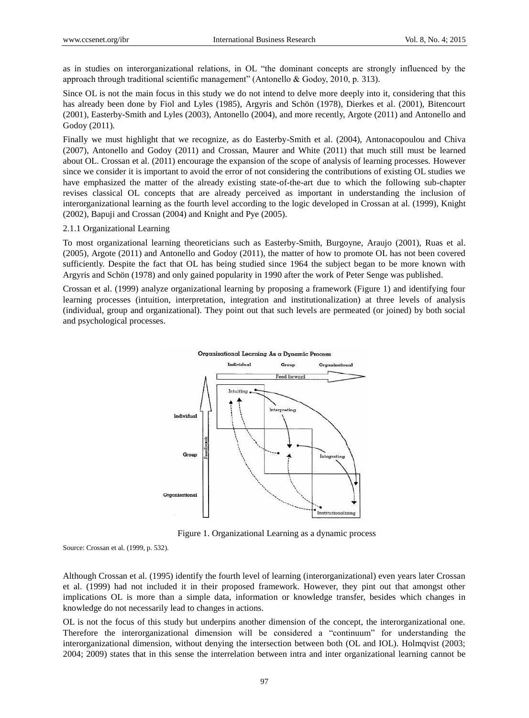as in studies on interorganizational relations, in OL "the dominant concepts are strongly influenced by the approach through traditional scientific management" (Antonello & Godoy, 2010, p. 313).

Since OL is not the main focus in this study we do not intend to delve more deeply into it, considering that this has already been done by Fiol and Lyles (1985), Argyris and Schön (1978), Dierkes et al. (2001), Bitencourt (2001), Easterby-Smith and Lyles (2003), Antonello (2004), and more recently, Argote (2011) and Antonello and Godoy (2011)*.* 

Finally we must highlight that we recognize, as do Easterby-Smith et al. (2004), Antonacopoulou and Chiva (2007), Antonello and Godoy (2011) and Crossan, Maurer and White (2011) that much still must be learned about OL. Crossan et al. (2011) encourage the expansion of the scope of analysis of learning processes. However since we consider it is important to avoid the error of not considering the contributions of existing OL studies we have emphasized the matter of the already existing state-of-the-art due to which the following sub-chapter revises classical OL concepts that are already perceived as important in understanding the inclusion of interorganizational learning as the fourth level according to the logic developed in Crossan at al. (1999), Knight (2002), Bapuji and Crossan (2004) and Knight and Pye (2005).

#### 2.1.1 Organizational Learning

To most organizational learning theoreticians such as Easterby-Smith, Burgoyne, Araujo (2001), Ruas et al. (2005), Argote (2011) and Antonello and Godoy (2011), the matter of how to promote OL has not been covered sufficiently. Despite the fact that OL has being studied since 1964 the subject began to be more known with Argyris and Schön (1978) and only gained popularity in 1990 after the work of Peter Senge was published.

Crossan et al. (1999) analyze organizational learning by proposing a framework (Figure 1) and identifying four learning processes (intuition, interpretation, integration and institutionalization) at three levels of analysis (individual, group and organizational). They point out that such levels are permeated (or joined) by both social and psychological processes.



Figure 1. Organizational Learning as a dynamic process

Source: Crossan et al. (1999, p. 532).

Although Crossan et al. (1995) identify the fourth level of learning (interorganizational) even years later Crossan et al. (1999) had not included it in their proposed framework. However, they pint out that amongst other implications OL is more than a simple data, information or knowledge transfer, besides which changes in knowledge do not necessarily lead to changes in actions.

OL is not the focus of this study but underpins another dimension of the concept, the interorganizational one. Therefore the interorganizational dimension will be considered a "continuum" for understanding the interorganizational dimension, without denying the intersection between both (OL and IOL). Holmqvist (2003; 2004; 2009) states that in this sense the interrelation between intra and inter organizational learning cannot be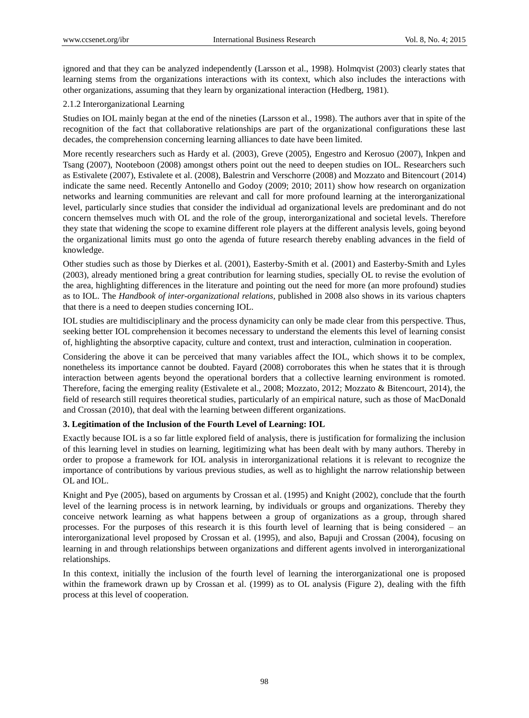ignored and that they can be analyzed independently (Larsson et al., 1998). Holmqvist (2003) clearly states that learning stems from the organizations interactions with its context, which also includes the interactions with other organizations, assuming that they learn by organizational interaction (Hedberg, 1981).

# 2.1.2 Interorganizational Learning

Studies on IOL mainly began at the end of the nineties (Larsson et al., 1998). The authors aver that in spite of the recognition of the fact that collaborative relationships are part of the organizational configurations these last decades, the comprehension concerning learning alliances to date have been limited.

More recently researchers such as Hardy et al. (2003), Greve (2005), Engestro and Kerosuo (2007), Inkpen and Tsang (2007), Nooteboon (2008) amongst others point out the need to deepen studies on IOL. Researchers such as Estivalete (2007), Estivalete et al. (2008), Balestrin and Verschorre (2008) and Mozzato and Bitencourt (2014) indicate the same need. Recently Antonello and Godoy (2009; 2010; 2011) show how research on organization networks and learning communities are relevant and call for more profound learning at the interorganizational level, particularly since studies that consider the individual ad organizational levels are predominant and do not concern themselves much with OL and the role of the group, interorganizational and societal levels. Therefore they state that widening the scope to examine different role players at the different analysis levels, going beyond the organizational limits must go onto the agenda of future research thereby enabling advances in the field of knowledge.

Other studies such as those by Dierkes et al. (2001), Easterby-Smith et al. (2001) and Easterby-Smith and Lyles (2003), already mentioned bring a great contribution for learning studies, specially OL to revise the evolution of the area, highlighting differences in the literature and pointing out the need for more (an more profound) studies as to IOL. The *Handbook of inter-organizational relations,* published in 2008 also shows in its various chapters that there is a need to deepen studies concerning IOL.

IOL studies are multidisciplinary and the process dynamicity can only be made clear from this perspective. Thus, seeking better IOL comprehension it becomes necessary to understand the elements this level of learning consist of, highlighting the absorptive capacity, culture and context, trust and interaction, culmination in cooperation.

Considering the above it can be perceived that many variables affect the IOL, which shows it to be complex, nonetheless its importance cannot be doubted. Fayard (2008) corroborates this when he states that it is through interaction between agents beyond the operational borders that a collective learning environment is romoted. Therefore, facing the emerging reality (Estivalete et al., 2008; Mozzato, 2012; Mozzato & Bitencourt, 2014), the field of research still requires theoretical studies, particularly of an empirical nature, such as those of MacDonald and Crossan (2010), that deal with the learning between different organizations.

# **3. Legitimation of the Inclusion of the Fourth Level of Learning: IOL**

Exactly because IOL is a so far little explored field of analysis, there is justification for formalizing the inclusion of this learning level in studies on learning, legitimizing what has been dealt with by many authors. Thereby in order to propose a framework for IOL analysis in interorganizational relations it is relevant to recognize the importance of contributions by various previous studies, as well as to highlight the narrow relationship between OL and IOL.

Knight and Pye (2005), based on arguments by Crossan et al. (1995) and Knight (2002), conclude that the fourth level of the learning process is in network learning, by individuals or groups and organizations. Thereby they conceive network learning as what happens between a group of organizations as a group, through shared processes. For the purposes of this research it is this fourth level of learning that is being considered – an interorganizational level proposed by Crossan et al. (1995), and also, Bapuji and Crossan (2004), focusing on learning in and through relationships between organizations and different agents involved in interorganizational relationships.

In this context, initially the inclusion of the fourth level of learning the interorganizational one is proposed within the framework drawn up by Crossan et al. (1999) as to OL analysis (Figure 2), dealing with the fifth process at this level of cooperation.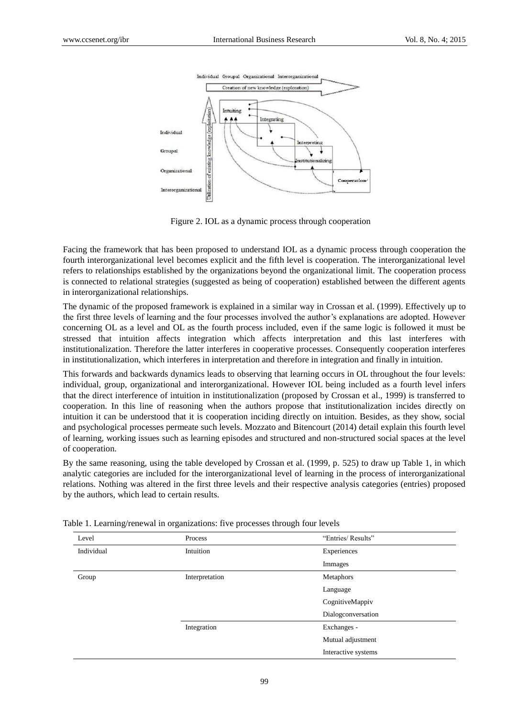

Figure 2. IOL as a dynamic process through cooperation

Facing the framework that has been proposed to understand IOL as a dynamic process through cooperation the fourth interorganizational level becomes explicit and the fifth level is cooperation. The interorganizational level refers to relationships established by the organizations beyond the organizational limit. The cooperation process is connected to relational strategies (suggested as being of cooperation) established between the different agents in interorganizational relationships.

The dynamic of the proposed framework is explained in a similar way in Crossan et al. (1999). Effectively up to the first three levels of learning and the four processes involved the author's explanations are adopted. However concerning OL as a level and OL as the fourth process included, even if the same logic is followed it must be stressed that intuition affects integration which affects interpretation and this last interferes with institutionalization. Therefore the latter interferes in cooperative processes. Consequently cooperation interferes in institutionalization, which interferes in interpretation and therefore in integration and finally in intuition.

This forwards and backwards dynamics leads to observing that learning occurs in OL throughout the four levels: individual, group, organizational and interorganizational. However IOL being included as a fourth level infers that the direct interference of intuition in institutionalization (proposed by Crossan et al., 1999) is transferred to cooperation. In this line of reasoning when the authors propose that institutionalization incides directly on intuition it can be understood that it is cooperation inciding directly on intuition. Besides, as they show, social and psychological processes permeate such levels. Mozzato and Bitencourt (2014) detail explain this fourth level of learning, working issues such as learning episodes and structured and non-structured social spaces at the level of cooperation.

By the same reasoning, using the table developed by Crossan et al. (1999, p. 525) to draw up Table 1, in which analytic categories are included for the interorganizational level of learning in the process of interorganizational relations. Nothing was altered in the first three levels and their respective analysis categories (entries) proposed by the authors, which lead to certain results.

| Level      | Process        | "Entries/ Results"  |
|------------|----------------|---------------------|
| Individual | Intuition      | Experiences         |
|            |                | Immages             |
| Group      | Interpretation | Metaphors           |
|            |                | Language            |
|            |                | CognitiveMappiv     |
|            |                | Dialogconversation  |
|            | Integration    | Exchanges -         |
|            |                | Mutual adjustment   |
|            |                | Interactive systems |

Table 1. Learning/renewal in organizations: five processes through four levels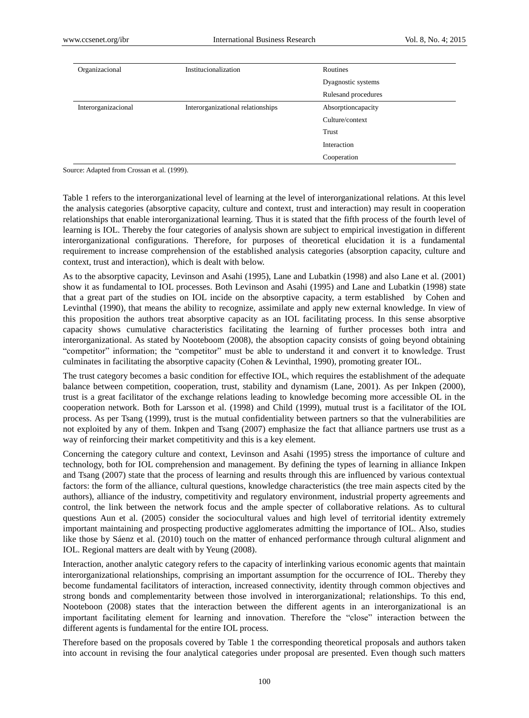| Organizacional      | Institucionalization              | Routines            |
|---------------------|-----------------------------------|---------------------|
|                     |                                   | Dyagnostic systems  |
|                     |                                   | Rulesand procedures |
| Interorganizacional | Interorganizational relationships | Absorptioncapacity  |
|                     |                                   | Culture/context     |
|                     |                                   | Trust               |
|                     |                                   | Interaction         |
|                     |                                   | Cooperation         |

Source: Adapted from Crossan et al. (1999).

Table 1 refers to the interorganizational level of learning at the level of interorganizational relations. At this level the analysis categories (absorptive capacity, culture and context, trust and interaction) may result in cooperation relationships that enable interorganizational learning. Thus it is stated that the fifth process of the fourth level of learning is IOL. Thereby the four categories of analysis shown are subject to empirical investigation in different interorganizational configurations. Therefore, for purposes of theoretical elucidation it is a fundamental requirement to increase comprehension of the established analysis categories (absorption capacity, culture and context, trust and interaction), which is dealt with below.

As to the absorptive capacity, Levinson and Asahi (1995), Lane and Lubatkin (1998) and also Lane et al. (2001) show it as fundamental to IOL processes. Both Levinson and Asahi (1995) and Lane and Lubatkin (1998) state that a great part of the studies on IOL incide on the absorptive capacity, a term established by Cohen and Levinthal (1990), that means the ability to recognize, assimilate and apply new external knowledge. In view of this proposition the authors treat absorptive capacity as an IOL facilitating process. In this sense absorptive capacity shows cumulative characteristics facilitating the learning of further processes both intra and interorganizational. As stated by Nooteboom (2008), the absoption capacity consists of going beyond obtaining "competitor" information; the "competitor" must be able to understand it and convert it to knowledge. Trust culminates in facilitating the absorptive capacity (Cohen & Levinthal, 1990), promoting greater IOL.

The trust category becomes a basic condition for effective IOL, which requires the establishment of the adequate balance between competition, cooperation, trust, stability and dynamism (Lane, 2001). As per Inkpen (2000), trust is a great facilitator of the exchange relations leading to knowledge becoming more accessible OL in the cooperation network. Both for Larsson et al. (1998) and Child (1999), mutual trust is a facilitator of the IOL process. As per Tsang (1999), trust is the mutual confidentiality between partners so that the vulnerabilities are not exploited by any of them. Inkpen and Tsang (2007) emphasize the fact that alliance partners use trust as a way of reinforcing their market competitivity and this is a key element.

Concerning the category culture and context, Levinson and Asahi (1995) stress the importance of culture and technology, both for IOL comprehension and management. By defining the types of learning in alliance Inkpen and Tsang (2007) state that the process of learning and results through this are influenced by various contextual factors: the form of the alliance, cultural questions, knowledge characteristics (the tree main aspects cited by the authors), alliance of the industry, competitivity and regulatory environment, industrial property agreements and control, the link between the network focus and the ample specter of collaborative relations. As to cultural questions Aun et al. (2005) consider the sociocultural values and high level of territorial identity extremely important maintaining and prospecting productive agglomerates admitting the importance of IOL. Also, studies like those by S áenz et al. (2010) touch on the matter of enhanced performance through cultural alignment and IOL. Regional matters are dealt with by Yeung (2008).

Interaction, another analytic category refers to the capacity of interlinking various economic agents that maintain interorganizational relationships, comprising an important assumption for the occurrence of IOL. Thereby they become fundamental facilitators of interaction, increased connectivity, identity through common objectives and strong bonds and complementarity between those involved in interorganizational; relationships. To this end, Nooteboon (2008) states that the interaction between the different agents in an interorganizational is an important facilitating element for learning and innovation. Therefore the "close" interaction between the different agents is fundamental for the entire IOL process.

Therefore based on the proposals covered by Table 1 the corresponding theoretical proposals and authors taken into account in revising the four analytical categories under proposal are presented. Even though such matters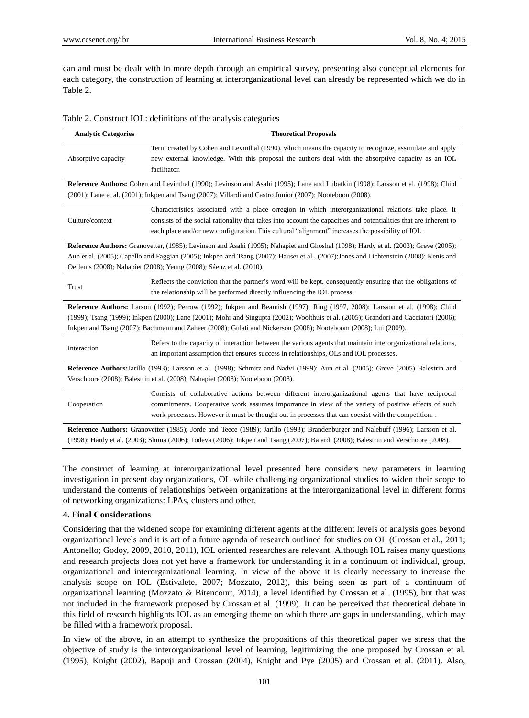can and must be dealt with in more depth through an empirical survey, presenting also conceptual elements for each category, the construction of learning at interorganizational level can already be represented which we do in Table 2.

|  | Table 2. Construct IOL: definitions of the analysis categories |  |  |
|--|----------------------------------------------------------------|--|--|
|  |                                                                |  |  |

| <b>Analytic Categories</b>                                                                                                                                                                                                                              | <b>Theoretical Proposals</b>                                                                                                                                                                                                                                                                                                    |  |  |
|---------------------------------------------------------------------------------------------------------------------------------------------------------------------------------------------------------------------------------------------------------|---------------------------------------------------------------------------------------------------------------------------------------------------------------------------------------------------------------------------------------------------------------------------------------------------------------------------------|--|--|
| Absorptive capacity<br>facilitator.                                                                                                                                                                                                                     | Term created by Cohen and Levinthal (1990), which means the capacity to recognize, assimilate and apply<br>new external knowledge. With this proposal the authors deal with the absorptive capacity as an IOL                                                                                                                   |  |  |
| Reference Authors: Cohen and Levinthal (1990); Levinson and Asahi (1995); Lane and Lubatkin (1998); Larsson et al. (1998); Child                                                                                                                        |                                                                                                                                                                                                                                                                                                                                 |  |  |
|                                                                                                                                                                                                                                                         | $(2001)$ ; Lane et al. $(2001)$ ; Inkpen and Tsang $(2007)$ ; Villardi and Castro Junior $(2007)$ ; Nooteboon $(2008)$ .                                                                                                                                                                                                        |  |  |
| Culture/context                                                                                                                                                                                                                                         | Characteristics associated with a place orregion in which interorganizational relations take place. It<br>consists of the social rationality that takes into account the capacities and potentialities that are inherent to<br>each place and/or new configuration. This cultural "alignment" increases the possibility of IOL. |  |  |
|                                                                                                                                                                                                                                                         | Reference Authors: Granovetter, (1985); Levinson and Asahi (1995); Nahapiet and Ghoshal (1998); Hardy et al. (2003); Greve (2005);                                                                                                                                                                                              |  |  |
|                                                                                                                                                                                                                                                         | Aun et al. (2005); Capello and Faggian (2005); Inkpen and Tsang (2007); Hauser et al., (2007); Jones and Lichtenstein (2008); Kenis and                                                                                                                                                                                         |  |  |
| Oerlems (2008); Nahapiet (2008); Yeung (2008); S áenz et al. (2010).                                                                                                                                                                                    |                                                                                                                                                                                                                                                                                                                                 |  |  |
| Trust                                                                                                                                                                                                                                                   | Reflects the conviction that the partner's word will be kept, consequently ensuring that the obligations of<br>the relationship will be performed directly influencing the IOL process.                                                                                                                                         |  |  |
|                                                                                                                                                                                                                                                         | Reference Authors: Larson (1992); Perrow (1992); Inkpen and Beamish (1997); Ring (1997, 2008); Larsson et al. (1998); Child                                                                                                                                                                                                     |  |  |
| (1999); Tsang (1999); Inkpen (2000); Lane (2001); Mohr and Singupta (2002); Woolthuis et al. (2005); Grandori and Cacciatori (2006);<br>Inkpen and Tsang (2007); Bachmann and Zaheer (2008); Gulati and Nickerson (2008); Nooteboom (2008); Lui (2009). |                                                                                                                                                                                                                                                                                                                                 |  |  |
| Interaction                                                                                                                                                                                                                                             | Refers to the capacity of interaction between the various agents that maintain interorganizational relations,<br>an important assumption that ensures success in relationships, OLs and IOL processes.                                                                                                                          |  |  |
| Reference Authors: Jarillo (1993); Larsson et al. (1998); Schmitz and Nadvi (1999); Aun et al. (2005); Greve (2005) Balestrin and<br>Verschoore (2008); Balestrin et al. (2008); Nahapiet (2008); Nooteboon (2008).                                     |                                                                                                                                                                                                                                                                                                                                 |  |  |
| Cooperation                                                                                                                                                                                                                                             | Consists of collaborative actions between different interorganizational agents that have reciprocal<br>commitments. Cooperative work assumes importance in view of the variety of positive effects of such<br>work processes. However it must be thought out in processes that can coexist with the competition                 |  |  |
|                                                                                                                                                                                                                                                         | Reference Authors: Granovetter (1985); Jorde and Teece (1989); Jarillo (1993); Brandenburger and Nalebuff (1996); Larsson et al.<br>(1998); Hardy et al. (2003); Shima (2006); Todeva (2006); Inkpen and Tsang (2007); Baiardi (2008); Balestrin and Verschoore (2008).                                                         |  |  |

The construct of learning at interorganizational level presented here considers new parameters in learning investigation in present day organizations, OL while challenging organizational studies to widen their scope to understand the contents of relationships between organizations at the interorganizational level in different forms of networking organizations: LPAs, clusters and other.

## **4. Final Considerations**

Considering that the widened scope for examining different agents at the different levels of analysis goes beyond organizational levels and it is art of a future agenda of research outlined for studies on OL (Crossan et al., 2011; Antonello; Godoy, 2009, 2010, 2011), IOL oriented researches are relevant. Although IOL raises many questions and research projects does not yet have a framework for understanding it in a continuum of individual, group, organizational and interorganizational learning. In view of the above it is clearly necessary to increase the analysis scope on IOL (Estivalete, 2007; Mozzato, 2012), this being seen as part of a continuum of organizational learning (Mozzato & Bitencourt, 2014), a level identified by Crossan et al. (1995), but that was not included in the framework proposed by Crossan et al. (1999). It can be perceived that theoretical debate in this field of research highlights IOL as an emerging theme on which there are gaps in understanding, which may be filled with a framework proposal.

In view of the above, in an attempt to synthesize the propositions of this theoretical paper we stress that the objective of study is the interorganizational level of learning, legitimizing the one proposed by Crossan et al. (1995), Knight (2002), Bapuji and Crossan (2004), Knight and Pye (2005) and Crossan et al. (2011). Also,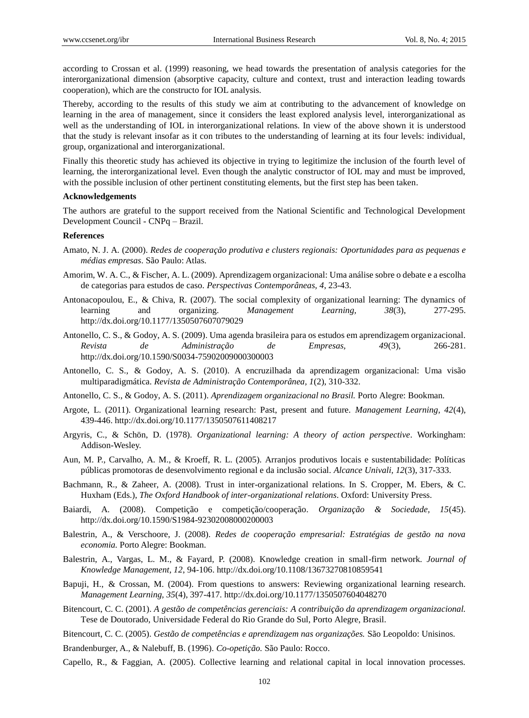according to Crossan et al. (1999) reasoning, we head towards the presentation of analysis categories for the interorganizational dimension (absorptive capacity, culture and context, trust and interaction leading towards cooperation), which are the constructo for IOL analysis.

Thereby, according to the results of this study we aim at contributing to the advancement of knowledge on learning in the area of management, since it considers the least explored analysis level, interorganizational as well as the understanding of IOL in interorganizational relations. In view of the above shown it is understood that the study is relevant insofar as it con tributes to the understanding of learning at its four levels: individual, group, organizational and interorganizational.

Finally this theoretic study has achieved its objective in trying to legitimize the inclusion of the fourth level of learning, the interorganizational level. Even though the analytic constructor of IOL may and must be improved, with the possible inclusion of other pertinent constituting elements, but the first step has been taken.

#### **Acknowledgements**

The authors are grateful to the support received from the National Scientific and Technological Development Development Council - CNPq – Brazil.

#### **References**

- Amato, N. J. A. (2000). *Redes de cooperação produtiva e clusters regionais: Oportunidades para as pequenas e médias empresas*. São Paulo: Atlas.
- Amorim, W. A. C., & Fischer, A. L. (2009). Aprendizagem organizacional: Uma análise sobre o debate e a escolha de categorias para estudos de caso. *Perspectivas Contemporâneas, 4*, 23-43.
- Antonacopoulou, E., & Chiva, R. (2007). The social complexity of organizational learning: The dynamics of learning and organizing. *Management Learning, 38*(3), 277-295. http://dx.doi.org/10.1177/1350507607079029
- Antonello, C. S., & Godoy, A. S. (2009). Uma agenda brasileira para os estudos em aprendizagem organizacional. *Revista de Administração de Empresas, 49*(3), 266-281. http://dx.doi.org/10.1590/S0034-75902009000300003
- Antonello, C. S., & Godoy, A. S. (2010). A encruzilhada da aprendizagem organizacional: Uma visão multiparadigmática. *Revista de Administração Contemporânea, 1*(2), 310-332.
- Antonello, C. S., & Godoy, A. S. (2011). *Aprendizagem organizacional no Brasil.* Porto Alegre: Bookman.
- Argote, L. (2011). Organizational learning research: Past, present and future. *Management Learning, 42*(4), 439-446. http://dx.doi.org/10.1177/1350507611408217
- Argyris, C., & Schön, D. (1978). *Organizational learning: A theory of action perspective*. Workingham: Addison-Wesley.
- Aun, M. P., Carvalho, A. M., & Kroeff, R. L. (2005). Arranjos produtivos locais e sustentabilidade: Políticas públicas promotoras de desenvolvimento regional e da inclusão social. *Alcance Univali, 12*(3), 317-333.
- Bachmann, R., & Zaheer, A. (2008). Trust in inter-organizational relations. In S. Cropper, M. Ebers, & C. Huxham (Eds.), *The Oxford Handbook of inter-organizational relations*. Oxford: University Press.
- Baiardi, A. (2008). Competição e competição/cooperação. *Organização & Sociedade, 15*(45). http://dx.doi.org/10.1590/S1984-92302008000200003
- Balestrin, A., & Verschoore, J. (2008). *Redes de cooperação empresarial: Estratégias de gestão na nova economia.* Porto Alegre: Bookman.
- Balestrin, A., Vargas, L. M., & Fayard, P. (2008). Knowledge creation in small-firm network. *Journal of Knowledge Management, 12*, 94-106. http://dx.doi.org/10.1108/13673270810859541
- Bapuji, H., & Crossan, M. (2004). From questions to answers: Reviewing organizational learning research. *Management Learning, 35*(4), 397-417. http://dx.doi.org/10.1177/1350507604048270
- Bitencourt, C. C. (2001). *A gestão de competências gerenciais: A contribuição da aprendizagem organizacional.*  Tese de Doutorado, Universidade Federal do Rio Grande do Sul, Porto Alegre, Brasil.
- Bitencourt, C. C. (2005). *Gestão de competências e aprendizagem nas organizações.* São Leopoldo: Unisinos.
- Brandenburger, A., & Nalebuff, B. (1996). *Co-opetição.* São Paulo: Rocco.
- Capello, R., & Faggian, A. (2005). Collective learning and relational capital in local innovation processes.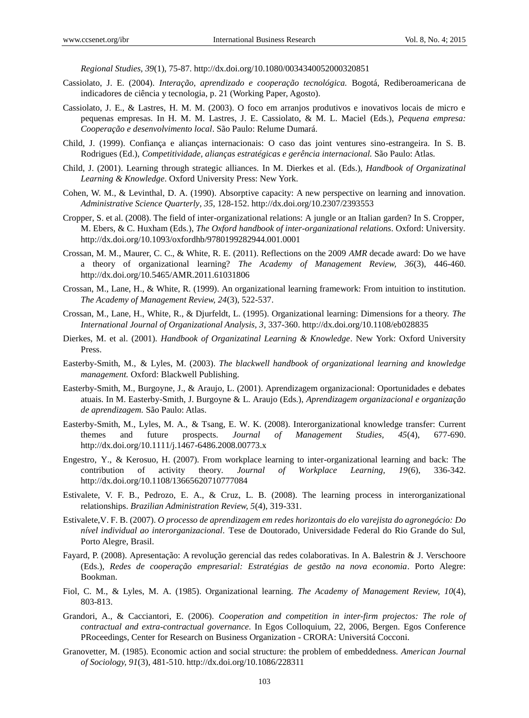*Regional Studies, 39*(1), 75-87. http://dx.doi.org/10.1080/0034340052000320851

- Cassiolato, J. E. (2004). *Interação, aprendizado e cooperação tecnológica.* Bogotá, Rediberoamericana de indicadores de ciência y tecnologia, p. 21 (Working Paper, Agosto).
- Cassiolato, J. E., & Lastres, H. M. M. (2003). O foco em arranjos produtivos e inovativos locais de micro e pequenas empresas. In H. M. M. Lastres, J. E. Cassiolato, & M. L. Maciel (Eds.), *Pequena empresa: Cooperação e desenvolvimento local*. São Paulo: Relume Dumará.
- Child, J. (1999). Confiança e alianças internacionais: O caso das joint ventures sino-estrangeira. In S. B. Rodrigues (Ed.), *Competitividade, alianças estratégicas e gerência internacional.* São Paulo: Atlas.
- Child, J. (2001). Learning through strategic alliances. In M. Dierkes et al. (Eds.), *Handbook of Organizatinal Learning & Knowledge*. Oxford University Press: New York.
- Cohen, W. M., & Levinthal, D. A. (1990). Absorptive capacity: A new perspective on learning and innovation. *Administrative Science Quarterly, 35*, 128-152. http://dx.doi.org/10.2307/2393553
- Cropper, S. et al. (2008). The field of inter-organizational relations: A jungle or an Italian garden? In S. Cropper, M. Ebers, & C. Huxham (Eds.), *The Oxford handbook of inter-organizational relations*. Oxford: University. http://dx.doi.org/10.1093/oxfordhb/9780199282944.001.0001
- Crossan, M. M., Maurer, C. C., & White, R. E. (2011). Reflections on the 2009 *AMR* decade award: Do we have a theory of organizational learning? *The Academy of Management Review, 36*(3), 446-460. http://dx.doi.org/10.5465/AMR.2011.61031806
- Crossan, M., Lane, H., & White, R. (1999). An organizational learning framework: From intuition to institution. *The Academy of Management Review, 24*(3), 522-537.
- Crossan, M., Lane, H., White, R., & Djurfeldt, L. (1995). Organizational learning: Dimensions for a theory. *The International Journal of Organizational Analysis, 3*, 337-360. http://dx.doi.org/10.1108/eb028835
- Dierkes, M. et al. (2001). *Handbook of Organizatinal Learning & Knowledge*. New York: Oxford University Press.
- Easterby-Smith, M., & Lyles, M. (2003). *The blackwell handbook of organizational learning and knowledge management.* Oxford: Blackwell Publishing.
- Easterby-Smith, M., Burgoyne, J., & Araujo, L. (2001). Aprendizagem organizacional: Oportunidades e debates atuais. In M. Easterby-Smith, J. Burgoyne & L. Araujo (Eds.), *Aprendizagem organizacional e organização de aprendizagem.* São Paulo: Atlas.
- Easterby-Smith, M., Lyles, M. A., & Tsang, E. W. K. (2008). Interorganizational knowledge transfer: Current themes and future prospects. *Journal of Management Studies, 45*(4), 677-690. http://dx.doi.org/10.1111/j.1467-6486.2008.00773.x
- Engestro, Y., & Kerosuo, H. (2007). From workplace learning to inter-organizational learning and back: The contribution of activity theory. *Journal of Workplace Learning, 19*(6), 336-342. http://dx.doi.org/10.1108/13665620710777084
- Estivalete, V. F. B., Pedrozo, E. A., & Cruz, L. B. (2008). The learning process in interorganizational relationships. *Brazilian Administration Review, 5*(4), 319-331.
- Estivalete,V. F. B. (2007). *O processo de aprendizagem em redes horizontais do elo varejista do agronegócio: Do nível individual ao interorganizacional*. Tese de Doutorado, Universidade Federal do Rio Grande do Sul, Porto Alegre, Brasil.
- Fayard, P. (2008). Apresentação: A revolução gerencial das redes colaborativas. In A. Balestrin & J. Verschoore (Eds.), *Redes de cooperação empresarial: Estratégias de gestão na nova economia*. Porto Alegre: Bookman.
- Fiol, C. M., & Lyles, M. A. (1985). Organizational learning. *The Academy of Management Review, 10*(4), 803-813.
- Grandori, A., & Cacciantori, E. (2006). *Cooperation and competition in inter-firm projectos: The role of contractual and extra-contractual governance.* In Egos Colloquium, 22, 2006, Bergen. Egos Conference PRoceedings, Center for Research on Business Organization - CRORA: Universitá Cocconi.
- Granovetter, M. (1985). Economic action and social structure: the problem of embeddedness. *American Journal of Sociology, 91*(3), 481-510. http://dx.doi.org/10.1086/228311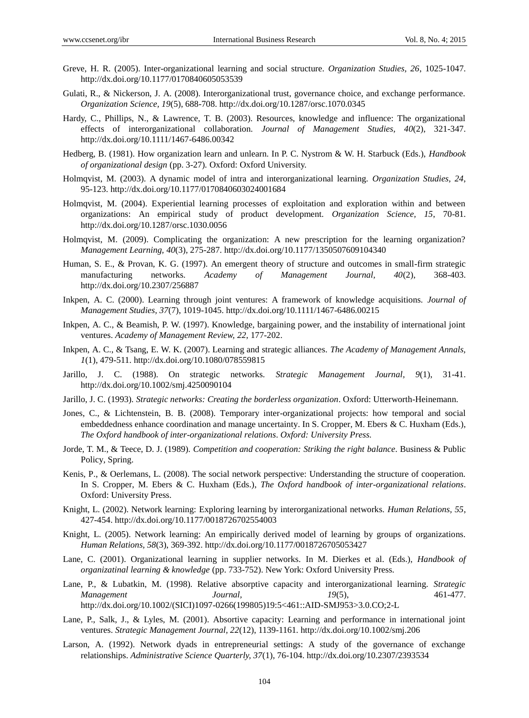- Greve, H. R. (2005). Inter-organizational learning and social structure. *Organization Studies, 26*, 1025-1047. http://dx.doi.org/10.1177/0170840605053539
- Gulati, R., & Nickerson, J. A. (2008). Interorganizational trust, governance choice, and exchange performance. *Organization Science, 19*(5), 688-708. http://dx.doi.org/10.1287/orsc.1070.0345
- Hardy, C., Phillips, N., & Lawrence, T. B. (2003). Resources, knowledge and influence: The organizational effects of interorganizational collaboration. *Journal of Management Studies, 40*(2), 321-347. http://dx.doi.org/10.1111/1467-6486.00342
- Hedberg, B. (1981). How organization learn and unlearn. In P. C. Nystrom & W. H. Starbuck (Eds.), *Handbook of organizational design* (pp. 3-27)*.* Oxford: Oxford University.
- Holmqvist, M. (2003). A dynamic model of intra and interorganizational learning. *Organization Studies, 24*, 95-123. http://dx.doi.org/10.1177/0170840603024001684
- Holmqvist, M. (2004). Experiential learning processes of exploitation and exploration within and between organizations: An empirical study of product development. *Organization Science, 15*, 70-81. http://dx.doi.org/10.1287/orsc.1030.0056
- Holmqvist, M. (2009). Complicating the organization: A new prescription for the learning organization? *Management Learning, 40*(3), 275-287. http://dx.doi.org/10.1177/1350507609104340
- Human, S. E., & Provan, K. G. (1997). An emergent theory of structure and outcomes in small-firm strategic manufacturing networks. *Academy of Management Journal, 40*(2), 368-403. http://dx.doi.org/10.2307/256887
- Inkpen, A. C. (2000). Learning through joint ventures: A framework of knowledge acquisitions. *Journal of Management Studies, 37*(7), 1019-1045. http://dx.doi.org/10.1111/1467-6486.00215
- Inkpen, A. C., & Beamish, P. W. (1997). Knowledge, bargaining power, and the instability of international joint ventures. *Academy of Management Review, 22*, 177-202.
- Inkpen, A. C., & Tsang, E. W. K. (2007). Learning and strategic alliances. *The Academy of Management Annals, 1*(1), 479-511. http://dx.doi.org/10.1080/078559815
- Jarillo, J. C. (1988). On strategic networks. *Strategic Management Journal, 9*(1), 31-41. http://dx.doi.org/10.1002/smj.4250090104
- Jarillo, J. C. (1993). *Strategic networks: Creating the borderless organization*. Oxford: Utterworth-Heinemann.
- Jones, C., & Lichtenstein, B. B. (2008). Temporary inter-organizational projects: how temporal and social embeddedness enhance coordination and manage uncertainty. In S. Cropper, M. Ebers & C. Huxham (Eds.), *The Oxford handbook of inter-organizational relations*. *Oxford: University Press.*
- Jorde, T. M., & Teece, D. J. (1989). *Competition and cooperation: Striking the right balance*. Business & Public Policy*,* Spring.
- Kenis, P., & Oerlemans, L. (2008). The social network perspective: Understanding the structure of cooperation. In S. Cropper, M. Ebers & C. Huxham (Eds.), *The Oxford handbook of inter-organizational relations*. Oxford: University Press.
- Knight, L. (2002). Network learning: Exploring learning by interorganizational networks. *Human Relations, 55*, 427-454. http://dx.doi.org/10.1177/0018726702554003
- Knight, L. (2005). Network learning: An empirically derived model of learning by groups of organizations. *Human Relations, 58*(3), 369-392. http://dx.doi.org/10.1177/0018726705053427
- Lane, C. (2001). Organizational learning in supplier networks. In M. Dierkes et al. (Eds.), *Handbook of organizatinal learning & knowledge* (pp. 733-752). New York: Oxford University Press.
- Lane, P., & Lubatkin, M. (1998). Relative absorptive capacity and interorganizational learning. *Strategic Management Journal, 19*(5), 461-477. http://dx.doi.org/10.1002/(SICI)1097-0266(199805)19:5<461::AID-SMJ953>3.0.CO;2-L
- Lane, P., Salk, J., & Lyles, M. (2001). Absortive capacity: Learning and performance in international joint ventures. *Strategic Management Journal, 22*(12), 1139-1161. http://dx.doi.org/10.1002/smj.206
- Larson, A. (1992). Network dyads in entrepreneurial settings: A study of the governance of exchange relationships. *Administrative Science Quarterly, 37*(1), 76-104. http://dx.doi.org/10.2307/2393534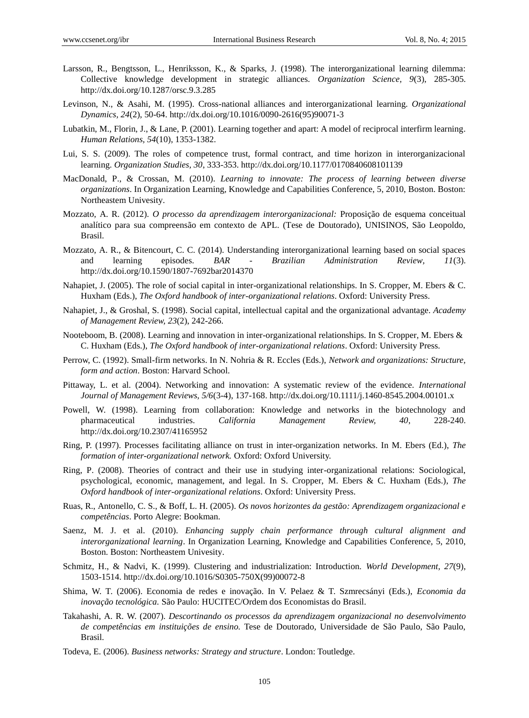- Larsson, R., Bengtsson, L., Henriksson, K., & Sparks, J. (1998). The interorganizational learning dilemma: Collective knowledge development in strategic alliances. *Organization Science, 9*(3), 285-305. http://dx.doi.org/10.1287/orsc.9.3.285
- Levinson, N., & Asahi, M. (1995). Cross-national alliances and interorganizational learning. *Organizational Dynamics, 24*(2), 50-64. http://dx.doi.org/10.1016/0090-2616(95)90071-3
- Lubatkin, M., Florin, J., & Lane, P. (2001). Learning together and apart: A model of reciprocal interfirm learning*. Human Relations, 54*(10), 1353-1382.
- Lui, S. S. (2009). The roles of competence trust, formal contract, and time horizon in interorganizacional learning. *Organization Studies, 30*, 333-353. http://dx.doi.org/10.1177/0170840608101139
- MacDonald, P., & Crossan, M. (2010). *Learning to innovate: The process of learning between diverse organizations*. In Organization Learning, Knowledge and Capabilities Conference, 5, 2010, Boston. Boston: Northeastem Univesity.
- Mozzato, A. R. (2012). *O processo da aprendizagem interorganizacional:* Proposição de esquema conceitual analítico para sua compreensão em contexto de APL. (Tese de Doutorado), UNISINOS, São Leopoldo, Brasil.
- Mozzato, A. R., & Bitencourt, C. C. (2014). Understanding interorganizational learning based on social spaces and learning episodes*. BAR - Brazilian Administration Review, 11*(3). http://dx.doi.org/10.1590/1807-7692bar2014370
- Nahapiet, J. (2005). The role of social capital in inter-organizational relationships. In S. Cropper, M. Ebers & C. Huxham (Eds.), *The Oxford handbook of inter-organizational relations*. Oxford: University Press.
- Nahapiet, J., & Groshal, S. (1998). Social capital, intellectual capital and the organizational advantage. *Academy of Management Review, 23*(2), 242-266.
- Nooteboom, B. (2008). Learning and innovation in inter-organizational relationships. In S. Cropper, M. Ebers & C. Huxham (Eds.), *The Oxford handbook of inter-organizational relations*. Oxford: University Press.
- Perrow, C. (1992). Small-firm networks. In N. Nohria & R. Eccles (Eds.), *Network and organizations: Structure, form and action*. Boston: Harvard School.
- Pittaway, L. et al. (2004). Networking and innovation: A systematic review of the evidence. *International Journal of Management Reviews, 5/6*(3-4), 137-168. http://dx.doi.org/10.1111/j.1460-8545.2004.00101.x
- Powell, W. (1998). Learning from collaboration: Knowledge and networks in the biotechnology and pharmaceutical industries. *California Management Review, 40*, 228-240. http://dx.doi.org/10.2307/41165952
- Ring, P. (1997). Processes facilitating alliance on trust in inter-organization networks. In M. Ebers (Ed.), *The formation of inter-organizational network.* Oxford: Oxford University.
- Ring, P. (2008). Theories of contract and their use in studying inter-organizational relations: Sociological, psychological, economic, management, and legal. In S. Cropper, M. Ebers & C. Huxham (Eds.), *The Oxford handbook of inter-organizational relations*. Oxford: University Press.
- Ruas, R., Antonello, C. S., & Boff, L. H. (2005). *Os novos horizontes da gestão: Aprendizagem organizacional e competências*. Porto Alegre: Bookman.
- Saenz, M. J. et al. (2010). *Enhancing supply chain performance through cultural alignment and interorganizational learning*. In Organization Learning, Knowledge and Capabilities Conference, 5, 2010, Boston. Boston: Northeastem Univesity.
- Schmitz, H., & Nadvi, K. (1999). Clustering and industrialization: Introduction. *World Development, 27*(9), 1503-1514. http://dx.doi.org/10.1016/S0305-750X(99)00072-8
- Shima, W. T. (2006). Economia de redes e inovação. In V. Pelaez & T. Szmrecsányi (Eds.), *Economia da inovação tecnológica.* São Paulo: HUCITEC/Ordem dos Economistas do Brasil.
- Takahashi, A. R. W. (2007). *Descortinando os processos da aprendizagem organizacional no desenvolvimento de competências em instituições de ensino.* Tese de Doutorado, Universidade de São Paulo, São Paulo, Brasil.
- Todeva, E. (2006). *Business networks: Strategy and structure*. London: Toutledge.